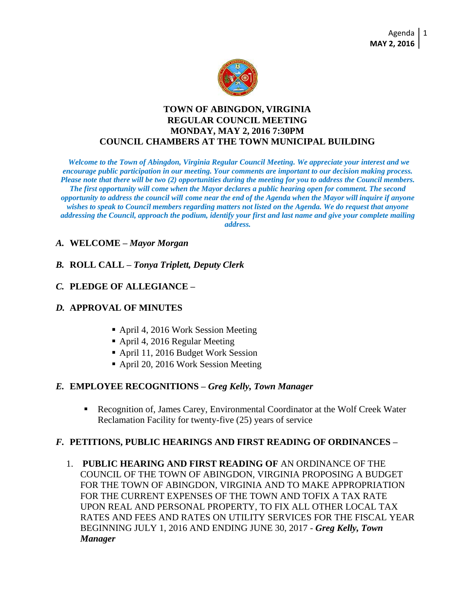

## **TOWN OF ABINGDON, VIRGINIA REGULAR COUNCIL MEETING MONDAY, MAY 2, 2016 7:30PM COUNCIL CHAMBERS AT THE TOWN MUNICIPAL BUILDING**

*Welcome to the Town of Abingdon, Virginia Regular Council Meeting. We appreciate your interest and we encourage public participation in our meeting. Your comments are important to our decision making process. Please note that there will be two (2) opportunities during the meeting for you to address the Council members. The first opportunity will come when the Mayor declares a public hearing open for comment. The second opportunity to address the council will come near the end of the Agenda when the Mayor will inquire if anyone wishes to speak to Council members regarding matters not listed on the Agenda. We do request that anyone addressing the Council, approach the podium, identify your first and last name and give your complete mailing address.*

## *A.* **WELCOME –** *Mayor Morgan*

## *B.* **ROLL CALL –** *Tonya Triplett, Deputy Clerk*

#### *C.* **PLEDGE OF ALLEGIANCE –**

## *D.* **APPROVAL OF MINUTES**

- April 4, 2016 Work Session Meeting
- April 4, 2016 Regular Meeting
- April 11, 2016 Budget Work Session
- April 20, 2016 Work Session Meeting

#### *E.* **EMPLOYEE RECOGNITIONS –** *Greg Kelly, Town Manager*

 Recognition of, James Carey, Environmental Coordinator at the Wolf Creek Water Reclamation Facility for twenty-five (25) years of service

#### *F.* **PETITIONS, PUBLIC HEARINGS AND FIRST READING OF ORDINANCES –**

1. **PUBLIC HEARING AND FIRST READING OF** AN ORDINANCE OF THE COUNCIL OF THE TOWN OF ABINGDON, VIRGINIA PROPOSING A BUDGET FOR THE TOWN OF ABINGDON, VIRGINIA AND TO MAKE APPROPRIATION FOR THE CURRENT EXPENSES OF THE TOWN AND TOFIX A TAX RATE UPON REAL AND PERSONAL PROPERTY, TO FIX ALL OTHER LOCAL TAX RATES AND FEES AND RATES ON UTILITY SERVICES FOR THE FISCAL YEAR BEGINNING JULY 1, 2016 AND ENDING JUNE 30, 2017 - *Greg Kelly, Town Manager*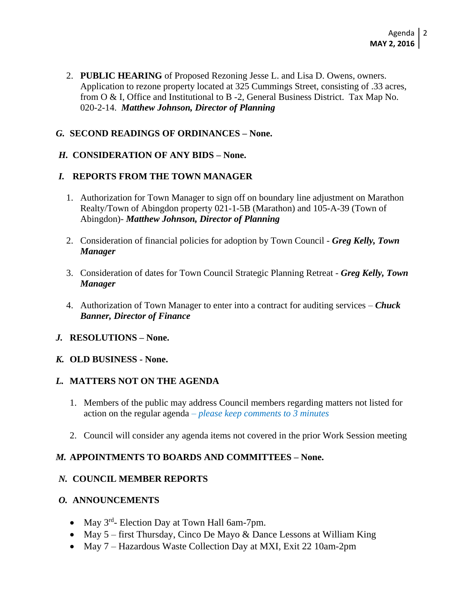2. **PUBLIC HEARING** of Proposed Rezoning Jesse L. and Lisa D. Owens, owners. Application to rezone property located at 325 Cummings Street, consisting of .33 acres, from O & I, Office and Institutional to B -2, General Business District. Tax Map No. 020-2-14. *Matthew Johnson, Director of Planning* 

## *G.* **SECOND READINGS OF ORDINANCES – None.**

## *H.* **CONSIDERATION OF ANY BIDS – None.**

## *I.* **REPORTS FROM THE TOWN MANAGER**

- 1. Authorization for Town Manager to sign off on boundary line adjustment on Marathon Realty/Town of Abingdon property 021-1-5B (Marathon) and 105-A-39 (Town of Abingdon)- *Matthew Johnson, Director of Planning*
- 2. Consideration of financial policies for adoption by Town Council *Greg Kelly, Town Manager*
- 3. Consideration of dates for Town Council Strategic Planning Retreat *Greg Kelly, Town Manager*
- 4. Authorization of Town Manager to enter into a contract for auditing services *Chuck Banner, Director of Finance*
- *J.* **RESOLUTIONS – None.**

#### *K.* **OLD BUSINESS - None.**

#### *L.* **MATTERS NOT ON THE AGENDA**

- 1. Members of the public may address Council members regarding matters not listed for action on the regular agenda *– please keep comments to 3 minutes*
- 2. Council will consider any agenda items not covered in the prior Work Session meeting

# *M.* **APPOINTMENTS TO BOARDS AND COMMITTEES – None.**

### *N.* **COUNCIL MEMBER REPORTS**

## *O.* **ANNOUNCEMENTS**

- May 3<sup>rd</sup>- Election Day at Town Hall 6am-7pm.
- May  $5 -$  first Thursday, Cinco De Mayo & Dance Lessons at William King
- May 7 Hazardous Waste Collection Day at MXI, Exit 22 10am-2pm